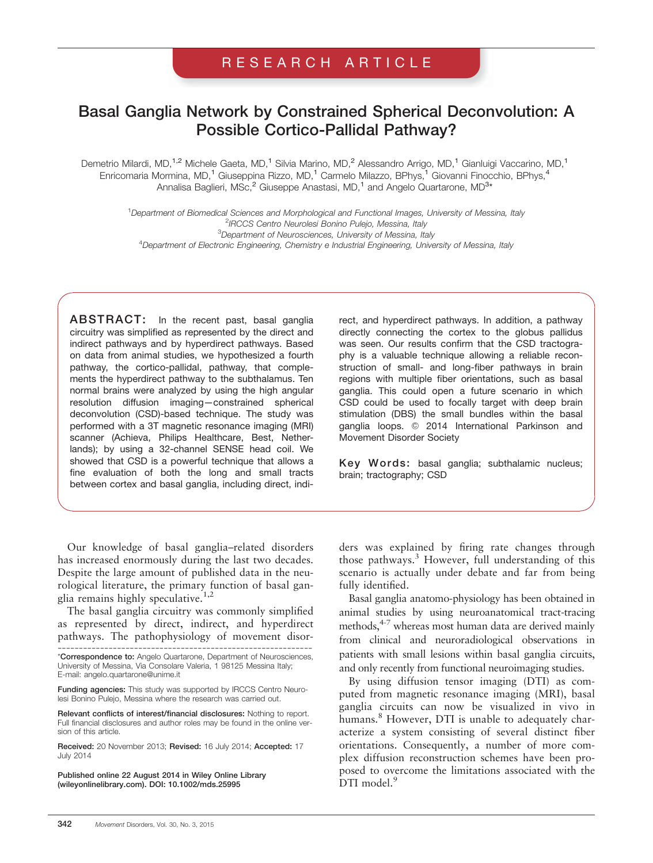# RESEARCH ARTICLE

# Basal Ganglia Network by Constrained Spherical Deconvolution: A Possible Cortico-Pallidal Pathway?

Demetrio Milardi, MD,<sup>1,2</sup> Michele Gaeta, MD,<sup>1</sup> Silvia Marino, MD,<sup>2</sup> Alessandro Arrigo, MD,<sup>1</sup> Gianluigi Vaccarino, MD,<sup>1</sup> Enricomaria Mormina, MD,<sup>1</sup> Giuseppina Rizzo, MD,<sup>1</sup> Carmelo Milazzo, BPhys,<sup>1</sup> Giovanni Finocchio, BPhys,<sup>4</sup> Annalisa Baglieri, MSc,<sup>2</sup> Giuseppe Anastasi, MD,<sup>1</sup> and Angelo Quartarone, MD<sup>3</sup>\*

1 Department of Biomedical Sciences and Morphological and Functional Images, University of Messina, Italy <sup>2</sup>IRCCS Centro Neurolesi Bonino Pulejo, Messina, Italy<br><sup>3</sup>Department of Neuropeianees, University of Messing, Italy <sup>3</sup>Department of Neurosciences, University of Messina, Italy <sup>4</sup>Department of Electronic Engineering, Chemistry e Industrial Engineering, University of Messina, Italy

ABSTRACT: In the recent past, basal ganglia circuitry was simplified as represented by the direct and indirect pathways and by hyperdirect pathways. Based on data from animal studies, we hypothesized a fourth pathway, the cortico-pallidal, pathway, that complements the hyperdirect pathway to the subthalamus. Ten normal brains were analyzed by using the high angular resolution diffusion imaging—constrained spherical deconvolution (CSD)-based technique. The study was performed with a 3T magnetic resonance imaging (MRI) scanner (Achieva, Philips Healthcare, Best, Netherlands); by using a 32-channel SENSE head coil. We showed that CSD is a powerful technique that allows a fine evaluation of both the long and small tracts between cortex and basal ganglia, including direct, indi-

Our knowledge of basal ganglia–related disorders has increased enormously during the last two decades. Despite the large amount of published data in the neurological literature, the primary function of basal ganglia remains highly speculative.<sup>1,2</sup>

The basal ganglia circuitry was commonly simplified as represented by direct, indirect, and hyperdirect pathways. The pathophysiology of movement disor-

Funding agencies: This study was supported by IRCCS Centro Neurolesi Bonino Pulejo, Messina where the research was carried out.

Relevant conflicts of interest/financial disclosures: Nothing to report. Full financial disclosures and author roles may be found in the online version of this article.

Received: 20 November 2013; Revised: 16 July 2014; Accepted: 17 July 2014

Published online 22 August 2014 in Wiley Online Library (wileyonlinelibrary.com). DOI: 10.1002/mds.25995

rect, and hyperdirect pathways. In addition, a pathway directly connecting the cortex to the globus pallidus was seen. Our results confirm that the CSD tractography is a valuable technique allowing a reliable reconstruction of small- and long-fiber pathways in brain regions with multiple fiber orientations, such as basal ganglia. This could open a future scenario in which CSD could be used to focally target with deep brain stimulation (DBS) the small bundles within the basal ganglia loops. © 2014 International Parkinson and Movement Disorder Society

Key Words: basal ganglia; subthalamic nucleus; brain; tractography; CSD

ders was explained by firing rate changes through those pathways.<sup>3</sup> However, full understanding of this scenario is actually under debate and far from being fully identified.

Basal ganglia anatomo-physiology has been obtained in animal studies by using neuroanatomical tract-tracing methods, $4.7$  whereas most human data are derived mainly from clinical and neuroradiological observations in patients with small lesions within basal ganglia circuits, and only recently from functional neuroimaging studies.

By using diffusion tensor imaging (DTI) as computed from magnetic resonance imaging (MRI), basal ganglia circuits can now be visualized in vivo in humans.<sup>8</sup> However, DTI is unable to adequately characterize a system consisting of several distinct fiber orientations. Consequently, a number of more complex diffusion reconstruction schemes have been proposed to overcome the limitations associated with the DTI model.<sup>9</sup>

<sup>------------------------------------------------------------</sup> \*Correspondence to: Angelo Quartarone, Department of Neurosciences, University of Messina, Via Consolare Valeria, 1 98125 Messina Italy; E-mail: angelo.quartarone@unime.it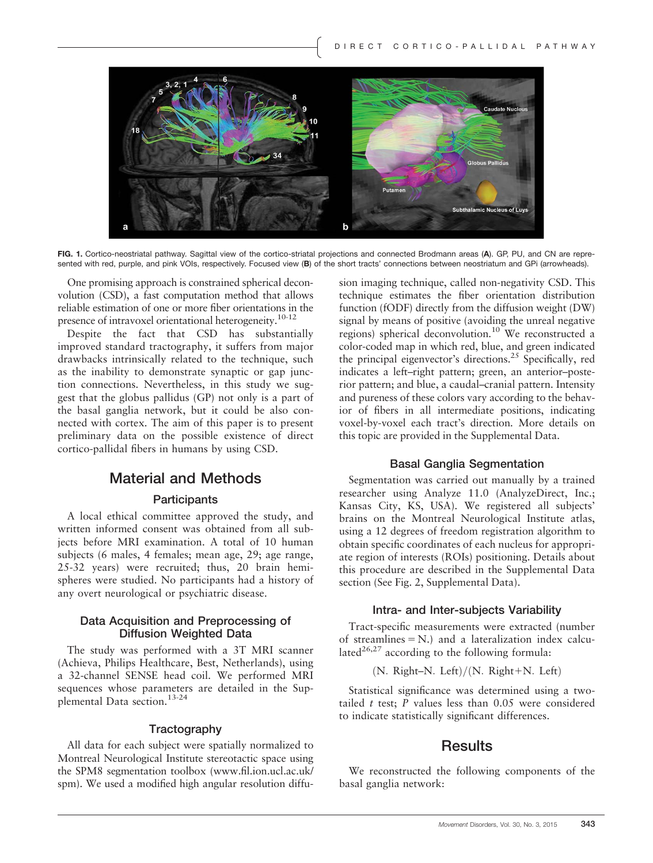

FIG. 1. Cortico-neostriatal pathway. Sagittal view of the cortico-striatal projections and connected Brodmann areas (A). GP, PU, and CN are represented with red, purple, and pink VOIs, respectively. Focused view (B) of the short tracts' connections between neostriatum and GPi (arrowheads).

One promising approach is constrained spherical deconvolution (CSD), a fast computation method that allows reliable estimation of one or more fiber orientations in the presence of intravoxel orientational heterogeneity.<sup>10-12</sup>

Despite the fact that CSD has substantially improved standard tractography, it suffers from major drawbacks intrinsically related to the technique, such as the inability to demonstrate synaptic or gap junction connections. Nevertheless, in this study we suggest that the globus pallidus (GP) not only is a part of the basal ganglia network, but it could be also connected with cortex. The aim of this paper is to present preliminary data on the possible existence of direct cortico-pallidal fibers in humans by using CSD.

### Material and Methods

#### **Participants**

A local ethical committee approved the study, and written informed consent was obtained from all subjects before MRI examination. A total of 10 human subjects (6 males, 4 females; mean age, 29; age range, 25-32 years) were recruited; thus, 20 brain hemispheres were studied. No participants had a history of any overt neurological or psychiatric disease.

#### Data Acquisition and Preprocessing of Diffusion Weighted Data

The study was performed with a 3T MRI scanner (Achieva, Philips Healthcare, Best, Netherlands), using a 32-channel SENSE head coil. We performed MRI sequences whose parameters are detailed in the Supplemental Data section.13-24

#### **Tractography**

All data for each subject were spatially normalized to Montreal Neurological Institute stereotactic space using the SPM8 segmentation toolbox [\(www.fil.ion.ucl.ac.uk/](http://www.fil.ion.ucl.ac.uk/spm) [spm](http://www.fil.ion.ucl.ac.uk/spm)). We used a modified high angular resolution diffu-

sion imaging technique, called non-negativity CSD. This technique estimates the fiber orientation distribution function (fODF) directly from the diffusion weight (DW) signal by means of positive (avoiding the unreal negative regions) spherical deconvolution.10 We reconstructed a color-coded map in which red, blue, and green indicated the principal eigenvector's directions.<sup>25</sup> Specifically, red indicates a left–right pattern; green, an anterior–posterior pattern; and blue, a caudal–cranial pattern. Intensity and pureness of these colors vary according to the behavior of fibers in all intermediate positions, indicating voxel-by-voxel each tract's direction. More details on this topic are provided in the Supplemental Data.

#### Basal Ganglia Segmentation

Segmentation was carried out manually by a trained researcher using Analyze 11.0 (AnalyzeDirect, Inc.; Kansas City, KS, USA). We registered all subjects' brains on the Montreal Neurological Institute atlas, using a 12 degrees of freedom registration algorithm to obtain specific coordinates of each nucleus for appropriate region of interests (ROIs) positioning. Details about this procedure are described in the Supplemental Data section (See Fig. 2, Supplemental Data).

#### Intra- and Inter-subjects Variability

Tract-specific measurements were extracted (number of streamlines  $= N$ .) and a lateralization index calculated<sup>26,27</sup> according to the following formula:

ð Þ N: Right–N: Left =ð Þ N: Right1N: Left

Statistical significance was determined using a twotailed  $t$  test;  $P$  values less than 0.05 were considered to indicate statistically significant differences.

### **Results**

We reconstructed the following components of the basal ganglia network: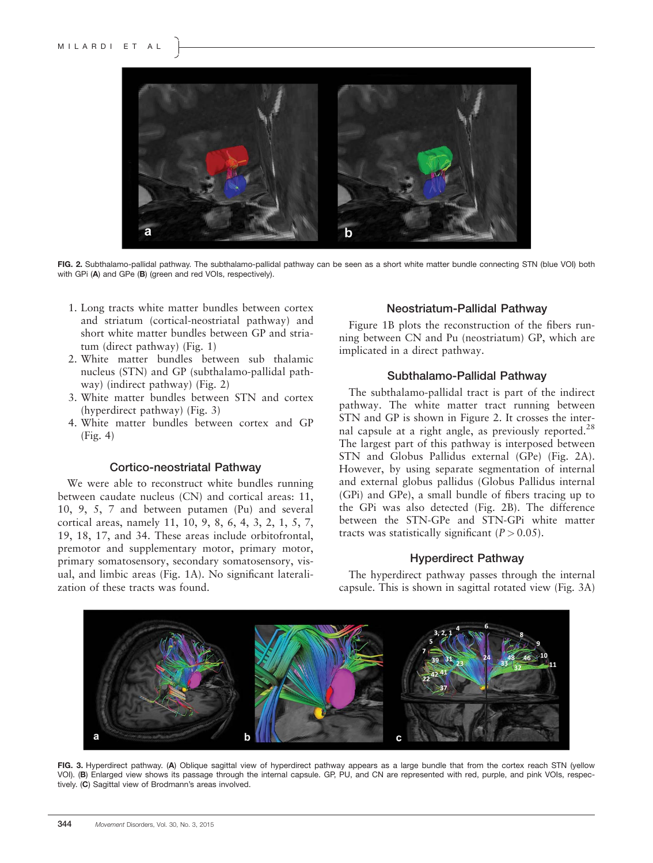

FIG. 2. Subthalamo-pallidal pathway. The subthalamo-pallidal pathway can be seen as a short white matter bundle connecting STN (blue VOI) both with GPi (A) and GPe (B) (green and red VOIs, respectively).

- 1. Long tracts white matter bundles between cortex and striatum (cortical-neostriatal pathway) and short white matter bundles between GP and striatum (direct pathway) (Fig. 1)
- 2. White matter bundles between sub thalamic nucleus (STN) and GP (subthalamo-pallidal pathway) (indirect pathway) (Fig. 2)
- 3. White matter bundles between STN and cortex (hyperdirect pathway) (Fig. 3)
- 4. White matter bundles between cortex and GP (Fig. 4)

#### Cortico-neostriatal Pathway

We were able to reconstruct white bundles running between caudate nucleus (CN) and cortical areas: 11, 10, 9, 5, 7 and between putamen (Pu) and several cortical areas, namely 11, 10, 9, 8, 6, 4, 3, 2, 1, 5, 7, 19, 18, 17, and 34. These areas include orbitofrontal, premotor and supplementary motor, primary motor, primary somatosensory, secondary somatosensory, visual, and limbic areas (Fig. 1A). No significant lateralization of these tracts was found.

#### Neostriatum-Pallidal Pathway

Figure 1B plots the reconstruction of the fibers running between CN and Pu (neostriatum) GP, which are implicated in a direct pathway.

#### Subthalamo-Pallidal Pathway

The subthalamo-pallidal tract is part of the indirect pathway. The white matter tract running between STN and GP is shown in Figure 2. It crosses the internal capsule at a right angle, as previously reported.<sup>28</sup> The largest part of this pathway is interposed between STN and Globus Pallidus external (GPe) (Fig. 2A). However, by using separate segmentation of internal and external globus pallidus (Globus Pallidus internal (GPi) and GPe), a small bundle of fibers tracing up to the GPi was also detected (Fig. 2B). The difference between the STN-GPe and STN-GPi white matter tracts was statistically significant  $(P > 0.05)$ .

#### Hyperdirect Pathway

The hyperdirect pathway passes through the internal capsule. This is shown in sagittal rotated view (Fig. 3A)



FIG. 3. Hyperdirect pathway. (A) Oblique sagittal view of hyperdirect pathway appears as a large bundle that from the cortex reach STN (yellow VOI). (B) Enlarged view shows its passage through the internal capsule. GP, PU, and CN are represented with red, purple, and pink VOIs, respectively. (C) Sagittal view of Brodmann's areas involved.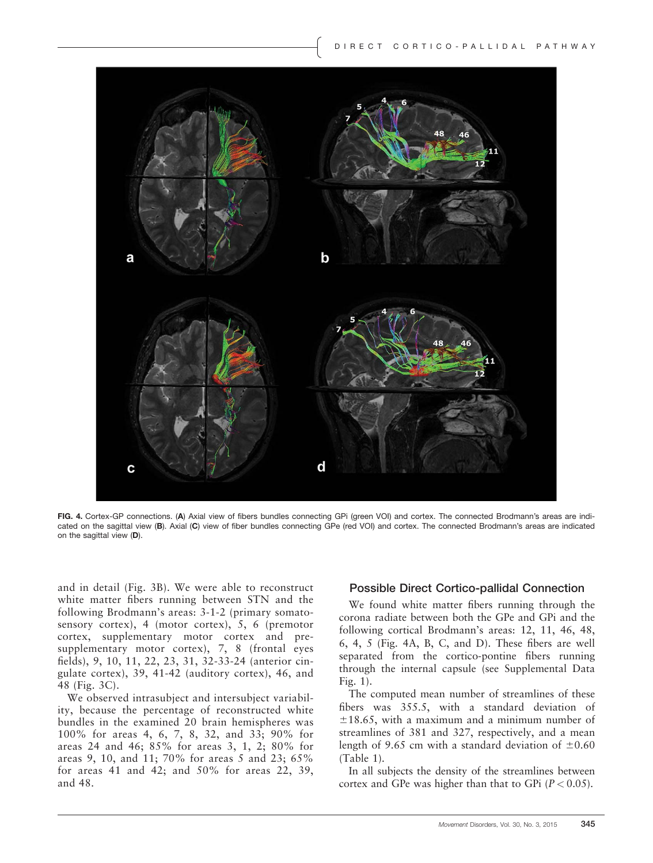

FIG. 4. Cortex-GP connections. (A) Axial view of fibers bundles connecting GPi (green VOI) and cortex. The connected Brodmann's areas are indicated on the sagittal view (B). Axial (C) view of fiber bundles connecting GPe (red VOI) and cortex. The connected Brodmann's areas are indicated on the sagittal view (D).

and in detail (Fig. 3B). We were able to reconstruct white matter fibers running between STN and the following Brodmann's areas: 3-1-2 (primary somatosensory cortex), 4 (motor cortex), 5, 6 (premotor cortex, supplementary motor cortex and presupplementary motor cortex), 7, 8 (frontal eyes fields), 9, 10, 11, 22, 23, 31, 32-33-24 (anterior cingulate cortex), 39, 41-42 (auditory cortex), 46, and 48 (Fig. 3C).

We observed intrasubject and intersubject variability, because the percentage of reconstructed white bundles in the examined 20 brain hemispheres was 100% for areas 4, 6, 7, 8, 32, and 33; 90% for areas 24 and 46; 85% for areas 3, 1, 2; 80% for areas 9, 10, and 11; 70% for areas 5 and 23; 65% for areas 41 and 42; and 50% for areas 22, 39, and 48.

#### Possible Direct Cortico-pallidal Connection

We found white matter fibers running through the corona radiate between both the GPe and GPi and the following cortical Brodmann's areas: 12, 11, 46, 48, 6, 4, 5 (Fig. 4A, B, C, and D). These fibers are well separated from the cortico-pontine fibers running through the internal capsule (see Supplemental Data Fig. 1).

The computed mean number of streamlines of these fibers was 355.5, with a standard deviation of  $\pm 18.65$ , with a maximum and a minimum number of streamlines of 381 and 327, respectively, and a mean length of 9.65 cm with a standard deviation of  $\pm 0.60$ (Table 1).

In all subjects the density of the streamlines between cortex and GPe was higher than that to GPi  $(P < 0.05)$ .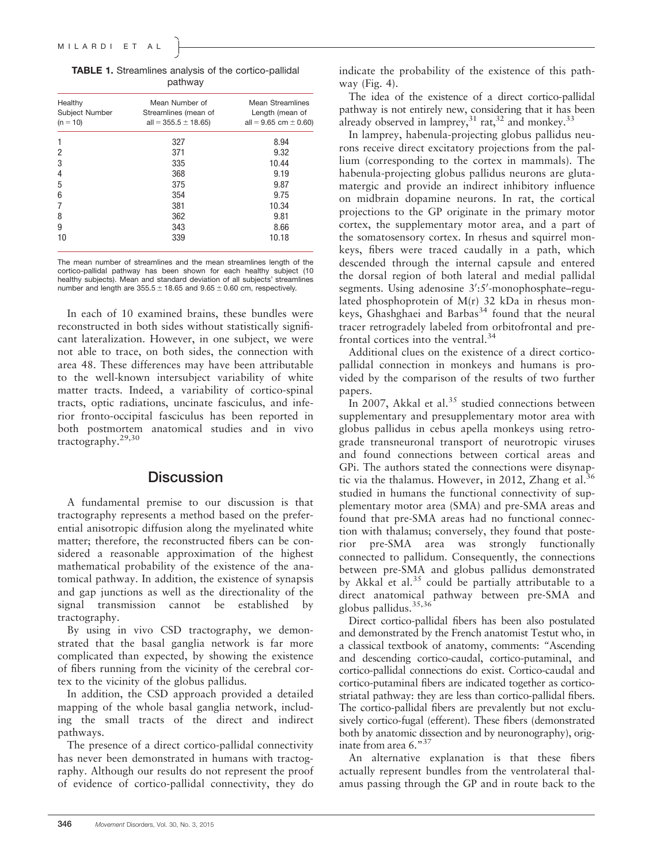| Healthy<br>Subject Number<br>$(n = 10)$ | Mean Number of<br>Streamlines (mean of<br>all = $355.5 \pm 18.65$ ) | <b>Mean Streamlines</b><br>Length (mean of<br>all = $9.65$ cm $\pm$ 0.60) |
|-----------------------------------------|---------------------------------------------------------------------|---------------------------------------------------------------------------|
| 1                                       | 327                                                                 | 8.94                                                                      |
| 2                                       | 371                                                                 | 9.32                                                                      |
| 3                                       | 335                                                                 | 10.44                                                                     |
| 4                                       | 368                                                                 | 9.19                                                                      |
| 5                                       | 375                                                                 | 9.87                                                                      |
| 6                                       | 354                                                                 | 9.75                                                                      |
| 7                                       | 381                                                                 | 10.34                                                                     |
| 8                                       | 362                                                                 | 9.81                                                                      |
| 9                                       | 343                                                                 | 8.66                                                                      |
| 10                                      | 339                                                                 | 10.18                                                                     |

TABLE 1. Streamlines analysis of the cortico-pallidal pathway

The mean number of streamlines and the mean streamlines length of the cortico-pallidal pathway has been shown for each healthy subject (10 healthy subjects). Mean and standard deviation of all subjects' streamlines number and length are  $355.5 \pm 18.65$  and  $9.65 \pm 0.60$  cm, respectively.

In each of 10 examined brains, these bundles were reconstructed in both sides without statistically significant lateralization. However, in one subject, we were not able to trace, on both sides, the connection with area 48. These differences may have been attributable to the well-known intersubject variability of white matter tracts. Indeed, a variability of cortico-spinal tracts, optic radiations, uncinate fasciculus, and inferior fronto-occipital fasciculus has been reported in both postmortem anatomical studies and in vivo tractography.29,30

### **Discussion**

A fundamental premise to our discussion is that tractography represents a method based on the preferential anisotropic diffusion along the myelinated white matter; therefore, the reconstructed fibers can be considered a reasonable approximation of the highest mathematical probability of the existence of the anatomical pathway. In addition, the existence of synapsis and gap junctions as well as the directionality of the signal transmission cannot be established by tractography.

By using in vivo CSD tractography, we demonstrated that the basal ganglia network is far more complicated than expected, by showing the existence of fibers running from the vicinity of the cerebral cortex to the vicinity of the globus pallidus.

In addition, the CSD approach provided a detailed mapping of the whole basal ganglia network, including the small tracts of the direct and indirect pathways.

The presence of a direct cortico-pallidal connectivity has never been demonstrated in humans with tractography. Although our results do not represent the proof of evidence of cortico-pallidal connectivity, they do indicate the probability of the existence of this pathway (Fig. 4).

The idea of the existence of a direct cortico-pallidal pathway is not entirely new, considering that it has been already observed in lamprey,  $31 \text{ rat}$ ,  $32 \text{ and monkey}$ ,  $33 \text{ rad}$ 

In lamprey, habenula-projecting globus pallidus neurons receive direct excitatory projections from the pallium (corresponding to the cortex in mammals). The habenula-projecting globus pallidus neurons are glutamatergic and provide an indirect inhibitory influence on midbrain dopamine neurons. In rat, the cortical projections to the GP originate in the primary motor cortex, the supplementary motor area, and a part of the somatosensory cortex. In rhesus and squirrel monkeys, fibers were traced caudally in a path, which descended through the internal capsule and entered the dorsal region of both lateral and medial pallidal segments. Using adenosine 3':5'-monophosphate-regulated phosphoprotein of M(r) 32 kDa in rhesus monkeys, Ghashghaei and Barbas<sup>34</sup> found that the neural tracer retrogradely labeled from orbitofrontal and prefrontal cortices into the ventral.<sup>34</sup>

Additional clues on the existence of a direct corticopallidal connection in monkeys and humans is provided by the comparison of the results of two further papers.

In 2007, Akkal et al.<sup>35</sup> studied connections between supplementary and presupplementary motor area with globus pallidus in cebus apella monkeys using retrograde transneuronal transport of neurotropic viruses and found connections between cortical areas and GPi. The authors stated the connections were disynaptic via the thalamus. However, in 2012, Zhang et al.<sup>36</sup> studied in humans the functional connectivity of supplementary motor area (SMA) and pre-SMA areas and found that pre-SMA areas had no functional connection with thalamus; conversely, they found that posterior pre-SMA area was strongly functionally connected to pallidum. Consequently, the connections between pre-SMA and globus pallidus demonstrated by Akkal et al.<sup>35</sup> could be partially attributable to a direct anatomical pathway between pre-SMA and globus pallidus.  $35,36$ 

Direct cortico-pallidal fibers has been also postulated and demonstrated by the French anatomist Testut who, in a classical textbook of anatomy, comments: "Ascending and descending cortico-caudal, cortico-putaminal, and cortico-pallidal connections do exist. Cortico-caudal and cortico-putaminal fibers are indicated together as corticostriatal pathway: they are less than cortico-pallidal fibers. The cortico-pallidal fibers are prevalently but not exclusively cortico-fugal (efferent). These fibers (demonstrated both by anatomic dissection and by neuronography), originate from area  $6.^{\text{m37}}$ 

An alternative explanation is that these fibers actually represent bundles from the ventrolateral thalamus passing through the GP and in route back to the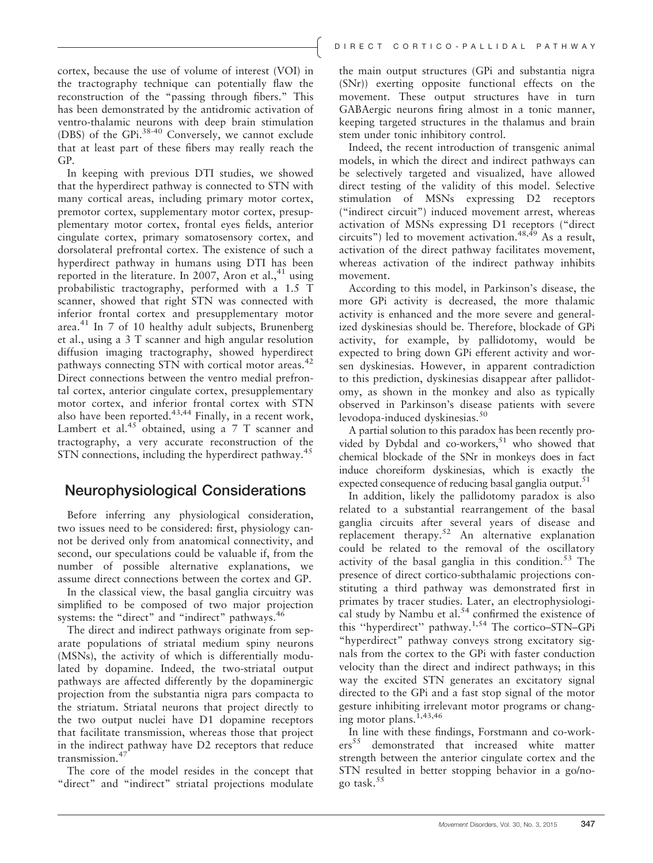cortex, because the use of volume of interest (VOI) in the tractography technique can potentially flaw the reconstruction of the "passing through fibers." This has been demonstrated by the antidromic activation of ventro-thalamic neurons with deep brain stimulation (DBS) of the GPi.38-40 Conversely, we cannot exclude that at least part of these fibers may really reach the GP.

In keeping with previous DTI studies, we showed that the hyperdirect pathway is connected to STN with many cortical areas, including primary motor cortex, premotor cortex, supplementary motor cortex, presupplementary motor cortex, frontal eyes fields, anterior cingulate cortex, primary somatosensory cortex, and dorsolateral prefrontal cortex. The existence of such a hyperdirect pathway in humans using DTI has been reported in the literature. In 2007, Aron et al., $41$  using probabilistic tractography, performed with a 1.5 T scanner, showed that right STN was connected with inferior frontal cortex and presupplementary motor area. $41$  In 7 of 10 healthy adult subjects, Brunenberg et al., using a 3 T scanner and high angular resolution diffusion imaging tractography, showed hyperdirect pathways connecting STN with cortical motor areas.<sup>42</sup> Direct connections between the ventro medial prefrontal cortex, anterior cingulate cortex, presupplementary motor cortex, and inferior frontal cortex with STN also have been reported. $43,44$  Finally, in a recent work, Lambert et al.<sup>45</sup> obtained, using a  $7$  T scanner and tractography, a very accurate reconstruction of the STN connections, including the hyperdirect pathway.<sup>45</sup>

### Neurophysiological Considerations

Before inferring any physiological consideration, two issues need to be considered: first, physiology cannot be derived only from anatomical connectivity, and second, our speculations could be valuable if, from the number of possible alternative explanations, we assume direct connections between the cortex and GP.

In the classical view, the basal ganglia circuitry was simplified to be composed of two major projection systems: the "direct" and "indirect" pathways.<sup>46</sup>

The direct and indirect pathways originate from separate populations of striatal medium spiny neurons (MSNs), the activity of which is differentially modulated by dopamine. Indeed, the two-striatal output pathways are affected differently by the dopaminergic projection from the substantia nigra pars compacta to the striatum. Striatal neurons that project directly to the two output nuclei have D1 dopamine receptors that facilitate transmission, whereas those that project in the indirect pathway have D2 receptors that reduce transmission.<sup>47</sup>

The core of the model resides in the concept that "direct" and "indirect" striatal projections modulate

the main output structures (GPi and substantia nigra (SNr)) exerting opposite functional effects on the movement. These output structures have in turn GABAergic neurons firing almost in a tonic manner, keeping targeted structures in the thalamus and brain stem under tonic inhibitory control.

Indeed, the recent introduction of transgenic animal models, in which the direct and indirect pathways can be selectively targeted and visualized, have allowed direct testing of the validity of this model. Selective stimulation of MSNs expressing D2 receptors ("indirect circuit") induced movement arrest, whereas activation of MSNs expressing D1 receptors ("direct circuits") led to movement activation.  $48,49$  As a result, activation of the direct pathway facilitates movement, whereas activation of the indirect pathway inhibits movement.

According to this model, in Parkinson's disease, the more GPi activity is decreased, the more thalamic activity is enhanced and the more severe and generalized dyskinesias should be. Therefore, blockade of GPi activity, for example, by pallidotomy, would be expected to bring down GPi efferent activity and worsen dyskinesias. However, in apparent contradiction to this prediction, dyskinesias disappear after pallidotomy, as shown in the monkey and also as typically observed in Parkinson's disease patients with severe levodopa-induced dyskinesias.<sup>50</sup>

A partial solution to this paradox has been recently provided by Dybdal and co-workers, $51$  who showed that chemical blockade of the SNr in monkeys does in fact induce choreiform dyskinesias, which is exactly the expected consequence of reducing basal ganglia output.<sup>51</sup>

In addition, likely the pallidotomy paradox is also related to a substantial rearrangement of the basal ganglia circuits after several years of disease and replacement therapy.<sup>52</sup> An alternative explanation could be related to the removal of the oscillatory activity of the basal ganglia in this condition.<sup>53</sup> The presence of direct cortico-subthalamic projections constituting a third pathway was demonstrated first in primates by tracer studies. Later, an electrophysiological study by Nambu et al. $54$  confirmed the existence of this ''hyperdirect'' pathway.1,54 The cortico–STN–GPi "hyperdirect" pathway conveys strong excitatory signals from the cortex to the GPi with faster conduction velocity than the direct and indirect pathways; in this way the excited STN generates an excitatory signal directed to the GPi and a fast stop signal of the motor gesture inhibiting irrelevant motor programs or changing motor plans.<sup> $1,43,46$ </sup>

In line with these findings, Forstmann and co-workers<sup>55</sup> demonstrated that increased white matter strength between the anterior cingulate cortex and the STN resulted in better stopping behavior in a go/nogo task.<sup>55</sup>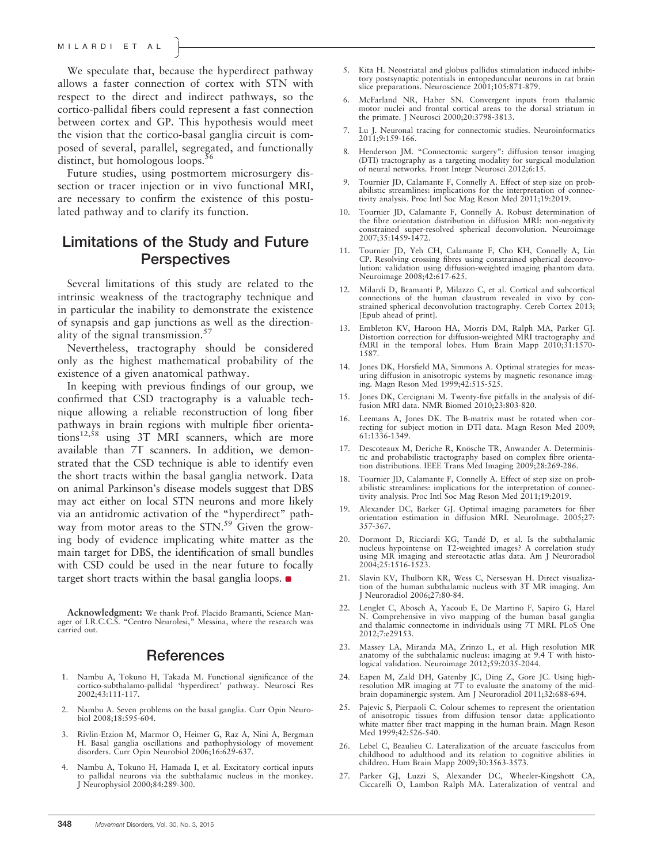We speculate that, because the hyperdirect pathway allows a faster connection of cortex with STN with respect to the direct and indirect pathways, so the cortico-pallidal fibers could represent a fast connection between cortex and GP. This hypothesis would meet the vision that the cortico-basal ganglia circuit is composed of several, parallel, segregated, and functionally distinct, but homologous loops.<sup>5</sup>

Future studies, using postmortem microsurgery dissection or tracer injection or in vivo functional MRI, are necessary to confirm the existence of this postulated pathway and to clarify its function.

## Limitations of the Study and Future **Perspectives**

Several limitations of this study are related to the intrinsic weakness of the tractography technique and in particular the inability to demonstrate the existence of synapsis and gap junctions as well as the directionality of the signal transmission.<sup>57</sup>

Nevertheless, tractography should be considered only as the highest mathematical probability of the existence of a given anatomical pathway.

In keeping with previous findings of our group, we confirmed that CSD tractography is a valuable technique allowing a reliable reconstruction of long fiber pathways in brain regions with multiple fiber orientations<sup>12,58</sup> using 3T MRI scanners, which are more available than 7T scanners. In addition, we demonstrated that the CSD technique is able to identify even the short tracts within the basal ganglia network. Data on animal Parkinson's disease models suggest that DBS may act either on local STN neurons and more likely via an antidromic activation of the "hyperdirect" pathway from motor areas to the  $STN$ .<sup>59</sup> Given the growing body of evidence implicating white matter as the main target for DBS, the identification of small bundles with CSD could be used in the near future to focally target short tracts within the basal ganglia loops.

Acknowledgment: We thank Prof. Placido Bramanti, Science Manager of I.R.C.C.S. "Centro Neurolesi," Messina, where the research was carried out.

### **References**

- 1. Nambu A, Tokuno H, Takada M. Functional significance of the cortico-subthalamo-pallidal 'hyperdirect' pathway. Neurosci Res 2002;43:111-117.
- 2. Nambu A. Seven problems on the basal ganglia. Curr Opin Neurobiol 2008;18:595-604.
- 3. Rivlin-Etzion M, Marmor O, Heimer G, Raz A, Nini A, Bergman H. Basal ganglia oscillations and pathophysiology of movement disorders. Curr Opin Neurobiol 2006;16:629-637.
- 4. Nambu A, Tokuno H, Hamada I, et al. Excitatory cortical inputs to pallidal neurons via the subthalamic nucleus in the monkey. J Neurophysiol 2000;84:289-300.
- 5. Kita H. Neostriatal and globus pallidus stimulation induced inhibitory postsynaptic potentials in entopeduncular neurons in rat brain slice preparations. Neuroscience 2001;105:871-879.
- 6. McFarland NR, Haber SN. Convergent inputs from thalamic motor nuclei and frontal cortical areas to the dorsal striatum in the primate. J Neurosci 2000;20:3798-3813.
- 7. Lu J. Neuronal tracing for connectomic studies. Neuroinformatics 2011;9:159-166.
- 8. Henderson JM. "Connectomic surgery": diffusion tensor imaging (DTI) tractography as a targeting modality for surgical modulation of neural networks. Front Integr Neurosci 2012;6:15.
- 9. Tournier JD, Calamante F, Connelly A. Effect of step size on probabilistic streamlines: implications for the interpretation of connectivity analysis. Proc Intl Soc Mag Reson Med 2011;19:2019.
- 10. Tournier JD, Calamante F, Connelly A. Robust determination of the fibre orientation distribution in diffusion MRI: non-negativity constrained super-resolved spherical deconvolution. Neuroimage 2007;35:1459-1472.
- 11. Tournier JD, Yeh CH, Calamante F, Cho KH, Connelly A, Lin CP. Resolving crossing fibres using constrained spherical deconvolution: validation using diffusion-weighted imaging phantom data. Neuroimage 2008;42:617-625.
- 12. Milardi D, Bramanti P, Milazzo C, et al. Cortical and subcortical connections of the human claustrum revealed in vivo by constrained spherical deconvolution tractography. Cereb Cortex 2013; [Epub ahead of print].
- 13. Embleton KV, Haroon HA, Morris DM, Ralph MA, Parker GJ. Distortion correction for diffusion-weighted MRI tractography and fMRI in the temporal lobes. Hum Brain Mapp 2010;31:1570-1587.
- 14. Jones DK, Horsfield MA, Simmons A. Optimal strategies for measuring diffusion in anisotropic systems by magnetic resonance imaging. Magn Reson Med 1999;42:515-525.
- 15. Jones DK, Cercignani M. Twenty-five pitfalls in the analysis of diffusion MRI data. NMR Biomed 2010;23:803-820.
- 16. Leemans A, Jones DK. The B-matrix must be rotated when correcting for subject motion in DTI data. Magn Reson Med 2009; 61:1336-1349.
- 17. Descoteaux M, Deriche R, Knösche TR, Anwander A. Deterministic and probabilistic tractography based on complex fibre orientation distributions. IEEE Trans Med Imaging 2009;28:269-286.
- 18. Tournier JD, Calamante F, Connelly A. Effect of step size on probabilistic streamlines: implications for the interpretation of connectivity analysis. Proc Intl Soc Mag Reson Med 2011;19:2019.
- 19. Alexander DC, Barker GJ. Optimal imaging parameters for fiber orientation estimation in diffusion MRI. NeuroImage. 2005;27: 357-367.
- 20. Dormont D, Ricciardi KG, Tandé D, et al. Is the subthalamic nucleus hypointense on T2-weighted images? A correlation study using MR imaging and stereotactic atlas data. Am J Neuroradiol 2004;25:1516-1523.
- Slavin KV, Thulborn KR, Wess C, Nersesyan H. Direct visualization of the human subthalamic nucleus with 3T MR imaging. Am J Neuroradiol 2006;27:80-84.
- 22. Lenglet C, Abosch A, Yacoub E, De Martino F, Sapiro G, Harel N. Comprehensive in vivo mapping of the human basal ganglia and thalamic connectome in individuals using 7T MRI. PLoS One 2012;7:e29153.
- 23. Massey LA, Miranda MA, Zrinzo L, et al. High resolution MR anatomy of the subthalamic nucleus: imaging at 9.4 T with histological validation. Neuroimage 2012;59:2035-2044.
- 24. Eapen M, Zald DH, Gatenby JC, Ding Z, Gore JC. Using high-resolution MR imaging at 7T to evaluate the anatomy of the midbrain dopaminergic system. Am J Neuroradiol 2011;32:688-694.
- 25. Pajevic S, Pierpaoli C. Colour schemes to represent the orientation of anisotropic tissues from diffusion tensor data: applicationto white matter fiber tract mapping in the human brain. Magn Reson Med 1999;42:526-540.
- 26. Lebel C, Beaulieu C. Lateralization of the arcuate fasciculus from childhood to adulthood and its relation to cognitive abilities in children. Hum Brain Mapp 2009;30:3563-3573.
- 27. Parker GJ, Luzzi S, Alexander DC, Wheeler-Kingshott CA, Ciccarelli O, Lambon Ralph MA. Lateralization of ventral and